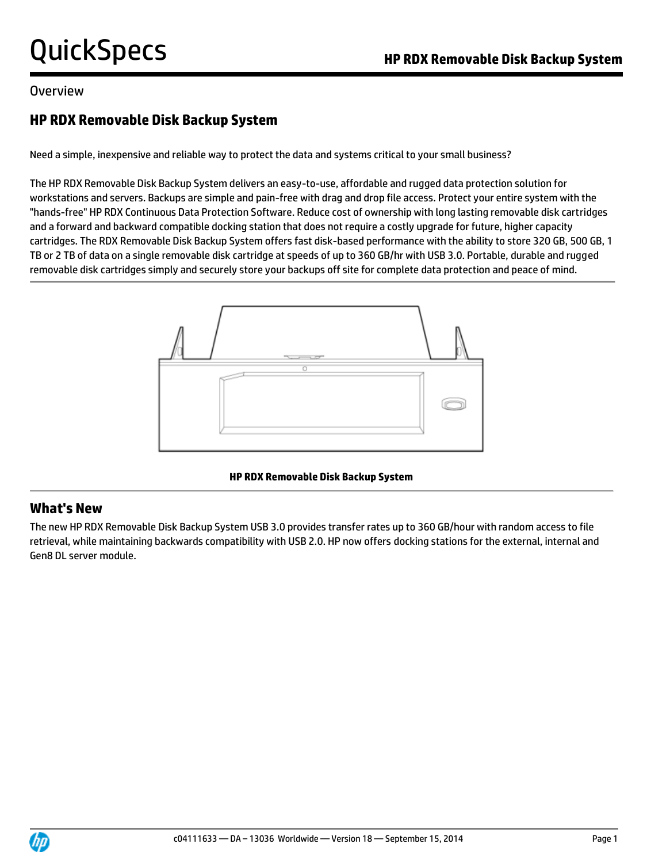### Overview

## **HP RDX Removable Disk Backup System**

Need a simple, inexpensive and reliable way to protect the data and systems critical to your small business?

The HP RDX Removable Disk Backup System delivers an easy-to-use, affordable and rugged data protection solution for workstations and servers. Backups are simple and pain-free with drag and drop file access. Protect your entire system with the "hands-free" HP RDX Continuous Data Protection Software. Reduce cost of ownership with long lasting removable disk cartridges and a forward and backward compatible docking station that does not require a costly upgrade for future, higher capacity cartridges. The RDX Removable Disk Backup System offers fast disk-based performance with the ability to store 320 GB, 500 GB, 1 TB or 2 TB of data on a single removable disk cartridge at speeds of up to 360 GB/hr with USB 3.0. Portable, durable and rugged removable disk cartridges simply and securely store your backups off site for complete data protection and peace of mind.



**HP RDX Removable Disk Backup System**

## **What's New**

The new HP RDX Removable Disk Backup System USB 3.0 provides transfer rates up to 360 GB/hour with random access to file retrieval, while maintaining backwards compatibility with USB 2.0. HP now offers docking stations for the external, internal and Gen8 DL server module.

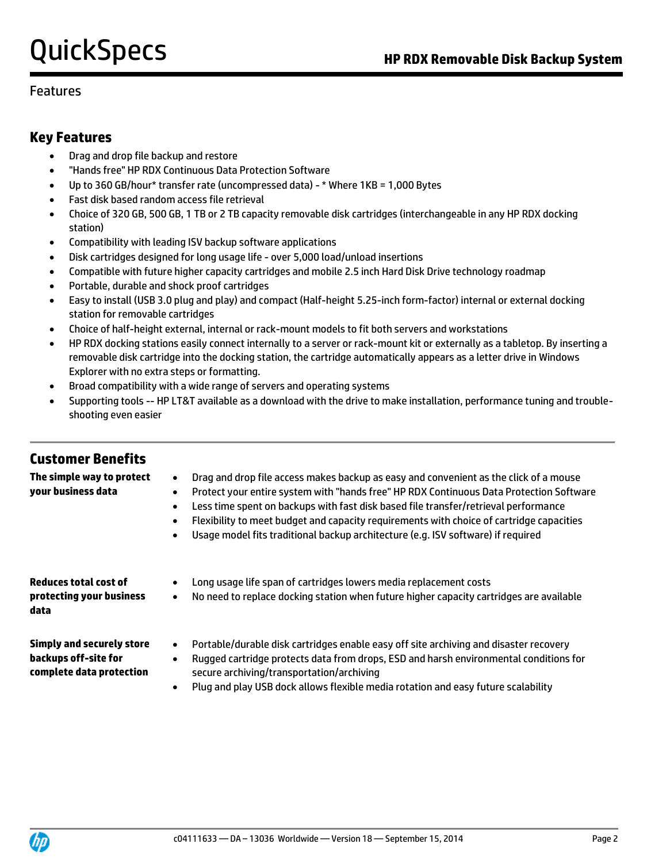### Features

### **Key Features**

- Drag and drop file backup and restore
- "Hands free" HP RDX Continuous Data Protection Software
- Up to 360 GB/hour\* transfer rate (uncompressed data) \* Where 1KB = 1,000 Bytes
- Fast disk based random access file retrieval
- Choice of 320 GB, 500 GB, 1 TB or 2 TB capacity removable disk cartridges (interchangeable in any HP RDX docking station)
- Compatibility with leading ISV backup software applications
- Disk cartridges designed for long usage life over 5,000 load/unload insertions
- Compatible with future higher capacity cartridges and mobile 2.5 inch Hard Disk Drive technology roadmap
- Portable, durable and shock proof cartridges
- Easy to install (USB 3.0 plug and play) and compact (Half-height 5.25-inch form-factor) internal or external docking station for removable cartridges
- Choice of half-height external, internal or rack-mount models to fit both servers and workstations
- HP RDX docking stations easily connect internally to a server or rack-mount kit or externally as a tabletop. By inserting a removable disk cartridge into the docking station, the cartridge automatically appears as a letter drive in Windows Explorer with no extra steps or formatting.
- Broad compatibility with a wide range of servers and operating systems
- Supporting tools -- HP LT&T available as a download with the drive to make installation, performance tuning and troubleshooting even easier

### **Customer Benefits The simple way to protect**

**your business data**

| Drag and drop file access makes backup as easy and convenient as the click of a mouse |
|---------------------------------------------------------------------------------------|
|---------------------------------------------------------------------------------------|

- Protect your entire system with "hands free" HP RDX Continuous Data Protection Software
	- Less time spent on backups with fast disk based file transfer/retrieval performance
	- Flexibility to meet budget and capacity requirements with choice of cartridge capacities
	- Usage model fits traditional backup architecture (e.g. ISV software) if required

| Reduces total cost of<br>protecting your business<br>data                            | Long usage life span of cartridges lowers media replacement costs<br>٠<br>No need to replace docking station when future higher capacity cartridges are available<br>٠                                                                        |
|--------------------------------------------------------------------------------------|-----------------------------------------------------------------------------------------------------------------------------------------------------------------------------------------------------------------------------------------------|
| <b>Simply and securely store</b><br>backups off-site for<br>complete data protection | Portable/durable disk cartridges enable easy off site archiving and disaster recovery<br>٠<br>Rugged cartridge protects data from drops, ESD and harsh environmental conditions for<br>$\bullet$<br>secure archiving/transportation/archiving |

Plug and play USB dock allows flexible media rotation and easy future scalability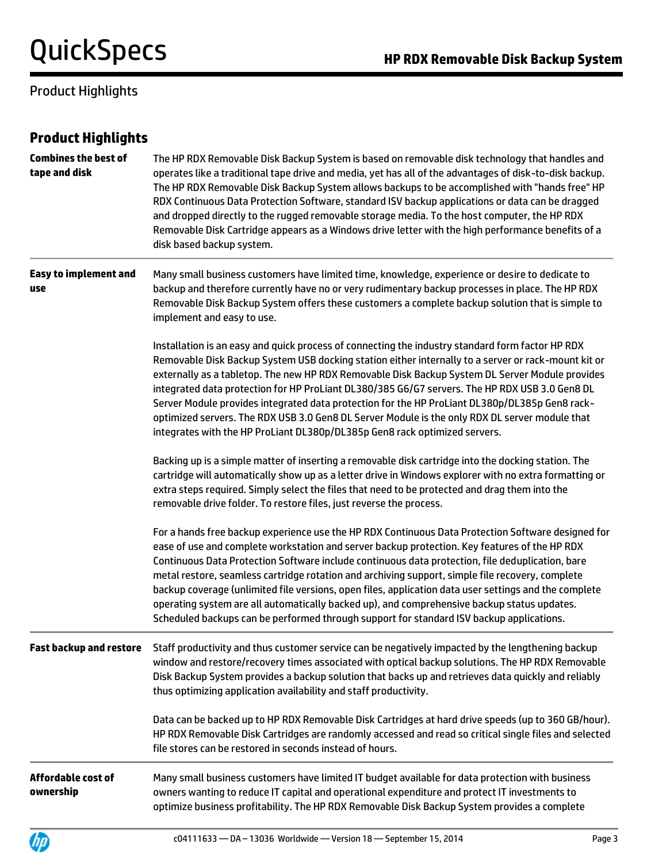## Product Highlights

| <b>Product Highlights</b>                    |                                                                                                                                                                                                                                                                                                                                                                                                                                                                                                                                                                                                                                                                                                                 |
|----------------------------------------------|-----------------------------------------------------------------------------------------------------------------------------------------------------------------------------------------------------------------------------------------------------------------------------------------------------------------------------------------------------------------------------------------------------------------------------------------------------------------------------------------------------------------------------------------------------------------------------------------------------------------------------------------------------------------------------------------------------------------|
| <b>Combines the best of</b><br>tape and disk | The HP RDX Removable Disk Backup System is based on removable disk technology that handles and<br>operates like a traditional tape drive and media, yet has all of the advantages of disk-to-disk backup.<br>The HP RDX Removable Disk Backup System allows backups to be accomplished with "hands free" HP<br>RDX Continuous Data Protection Software, standard ISV backup applications or data can be dragged<br>and dropped directly to the rugged removable storage media. To the host computer, the HP RDX<br>Removable Disk Cartridge appears as a Windows drive letter with the high performance benefits of a<br>disk based backup system.                                                              |
| <b>Easy to implement and</b><br>use          | Many small business customers have limited time, knowledge, experience or desire to dedicate to<br>backup and therefore currently have no or very rudimentary backup processes in place. The HP RDX<br>Removable Disk Backup System offers these customers a complete backup solution that is simple to<br>implement and easy to use.                                                                                                                                                                                                                                                                                                                                                                           |
|                                              | Installation is an easy and quick process of connecting the industry standard form factor HP RDX<br>Removable Disk Backup System USB docking station either internally to a server or rack-mount kit or<br>externally as a tabletop. The new HP RDX Removable Disk Backup System DL Server Module provides<br>integrated data protection for HP ProLiant DL380/385 G6/G7 servers. The HP RDX USB 3.0 Gen8 DL<br>Server Module provides integrated data protection for the HP ProLiant DL380p/DL385p Gen8 rack-<br>optimized servers. The RDX USB 3.0 Gen8 DL Server Module is the only RDX DL server module that<br>integrates with the HP ProLiant DL380p/DL385p Gen8 rack optimized servers.                  |
|                                              | Backing up is a simple matter of inserting a removable disk cartridge into the docking station. The<br>cartridge will automatically show up as a letter drive in Windows explorer with no extra formatting or<br>extra steps required. Simply select the files that need to be protected and drag them into the<br>removable drive folder. To restore files, just reverse the process.                                                                                                                                                                                                                                                                                                                          |
|                                              | For a hands free backup experience use the HP RDX Continuous Data Protection Software designed for<br>ease of use and complete workstation and server backup protection. Key features of the HP RDX<br>Continuous Data Protection Software include continuous data protection, file deduplication, bare<br>metal restore, seamless cartridge rotation and archiving support, simple file recovery, complete<br>backup coverage (unlimited file versions, open files, application data user settings and the complete<br>operating system are all automatically backed up), and comprehensive backup status updates.<br>Scheduled backups can be performed through support for standard ISV backup applications. |
| <b>Fast backup and restore</b>               | Staff productivity and thus customer service can be negatively impacted by the lengthening backup<br>window and restore/recovery times associated with optical backup solutions. The HP RDX Removable<br>Disk Backup System provides a backup solution that backs up and retrieves data quickly and reliably<br>thus optimizing application availability and staff productivity.                                                                                                                                                                                                                                                                                                                                |
|                                              | Data can be backed up to HP RDX Removable Disk Cartridges at hard drive speeds (up to 360 GB/hour).<br>HP RDX Removable Disk Cartridges are randomly accessed and read so critical single files and selected<br>file stores can be restored in seconds instead of hours.                                                                                                                                                                                                                                                                                                                                                                                                                                        |
| Affordable cost of<br>ownership              | Many small business customers have limited IT budget available for data protection with business<br>owners wanting to reduce IT capital and operational expenditure and protect IT investments to                                                                                                                                                                                                                                                                                                                                                                                                                                                                                                               |



optimize business profitability. The HP RDX Removable Disk Backup System provides a complete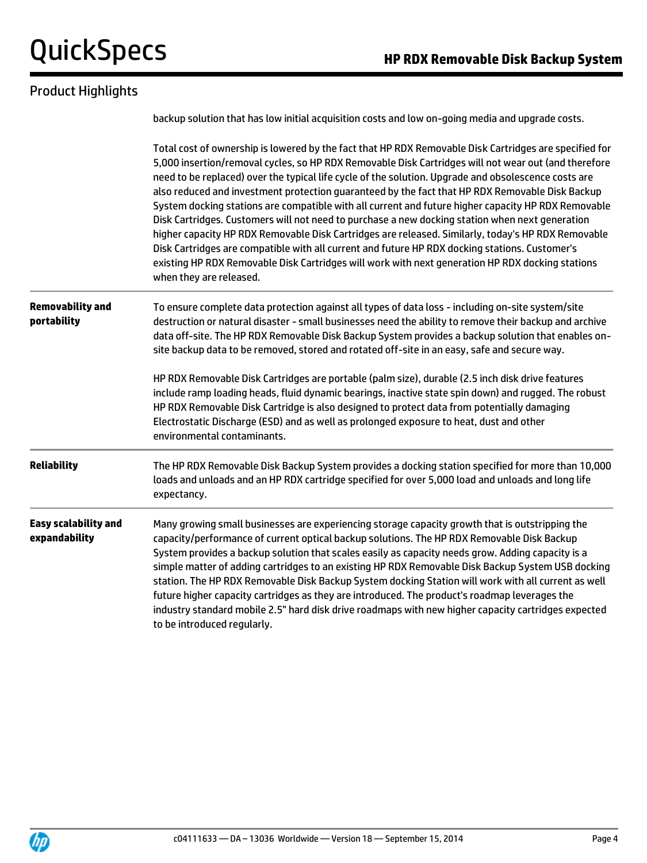## Product Highlights

|                                              | backup solution that has low initial acquisition costs and low on-going media and upgrade costs.                                                                                                                                                                                                                                                                                                                                                                                                                                                                                                                                                                                                                                                                                                                                                                                                                                                                           |  |  |  |  |  |
|----------------------------------------------|----------------------------------------------------------------------------------------------------------------------------------------------------------------------------------------------------------------------------------------------------------------------------------------------------------------------------------------------------------------------------------------------------------------------------------------------------------------------------------------------------------------------------------------------------------------------------------------------------------------------------------------------------------------------------------------------------------------------------------------------------------------------------------------------------------------------------------------------------------------------------------------------------------------------------------------------------------------------------|--|--|--|--|--|
|                                              | Total cost of ownership is lowered by the fact that HP RDX Removable Disk Cartridges are specified for<br>5,000 insertion/removal cycles, so HP RDX Removable Disk Cartridges will not wear out (and therefore<br>need to be replaced) over the typical life cycle of the solution. Upgrade and obsolescence costs are<br>also reduced and investment protection guaranteed by the fact that HP RDX Removable Disk Backup<br>System docking stations are compatible with all current and future higher capacity HP RDX Removable<br>Disk Cartridges. Customers will not need to purchase a new docking station when next generation<br>higher capacity HP RDX Removable Disk Cartridges are released. Similarly, today's HP RDX Removable<br>Disk Cartridges are compatible with all current and future HP RDX docking stations. Customer's<br>existing HP RDX Removable Disk Cartridges will work with next generation HP RDX docking stations<br>when they are released. |  |  |  |  |  |
| <b>Removability and</b><br>portability       | To ensure complete data protection against all types of data loss - including on-site system/site<br>destruction or natural disaster - small businesses need the ability to remove their backup and archive<br>data off-site. The HP RDX Removable Disk Backup System provides a backup solution that enables on-<br>site backup data to be removed, stored and rotated off-site in an easy, safe and secure way.                                                                                                                                                                                                                                                                                                                                                                                                                                                                                                                                                          |  |  |  |  |  |
|                                              | HP RDX Removable Disk Cartridges are portable (palm size), durable (2.5 inch disk drive features<br>include ramp loading heads, fluid dynamic bearings, inactive state spin down) and rugged. The robust<br>HP RDX Removable Disk Cartridge is also designed to protect data from potentially damaging<br>Electrostatic Discharge (ESD) and as well as prolonged exposure to heat, dust and other<br>environmental contaminants.                                                                                                                                                                                                                                                                                                                                                                                                                                                                                                                                           |  |  |  |  |  |
| <b>Reliability</b>                           | The HP RDX Removable Disk Backup System provides a docking station specified for more than 10,000<br>loads and unloads and an HP RDX cartridge specified for over 5,000 load and unloads and long life<br>expectancy.                                                                                                                                                                                                                                                                                                                                                                                                                                                                                                                                                                                                                                                                                                                                                      |  |  |  |  |  |
| <b>Easy scalability and</b><br>expandability | Many growing small businesses are experiencing storage capacity growth that is outstripping the<br>capacity/performance of current optical backup solutions. The HP RDX Removable Disk Backup<br>System provides a backup solution that scales easily as capacity needs grow. Adding capacity is a<br>simple matter of adding cartridges to an existing HP RDX Removable Disk Backup System USB docking<br>station. The HP RDX Removable Disk Backup System docking Station will work with all current as well<br>future higher capacity cartridges as they are introduced. The product's roadmap leverages the<br>industry standard mobile 2.5" hard disk drive roadmaps with new higher capacity cartridges expected<br>to be introduced regularly.                                                                                                                                                                                                                      |  |  |  |  |  |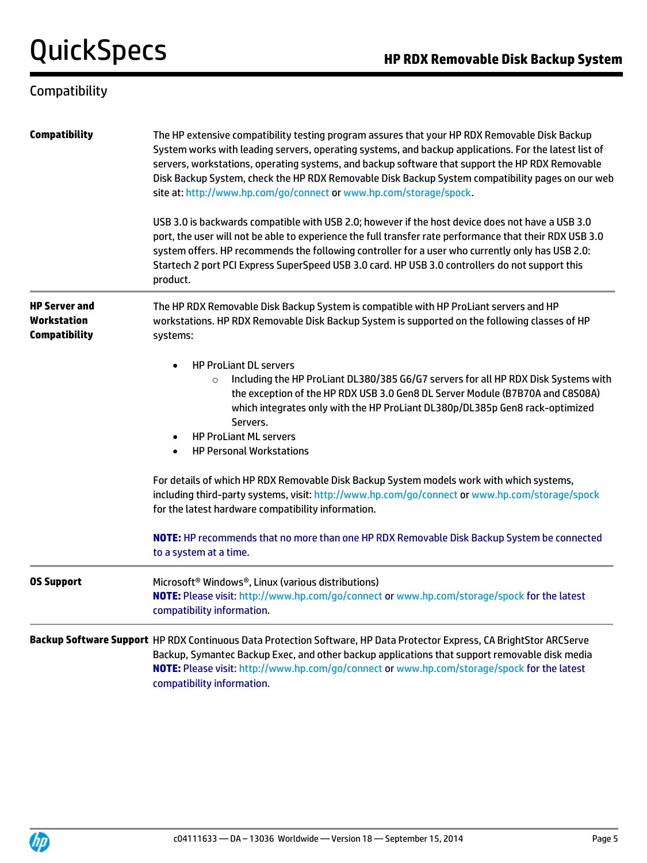## Compatibility

| <b>Compatibility</b>                                        | The HP extensive compatibility testing program assures that your HP RDX Removable Disk Backup<br>System works with leading servers, operating systems, and backup applications. For the latest list of<br>servers, workstations, operating systems, and backup software that support the HP RDX Removable<br>Disk Backup System, check the HP RDX Removable Disk Backup System compatibility pages on our web<br>site at: http://www.hp.com/go/connect or www.hp.com/storage/spock. |  |  |  |  |
|-------------------------------------------------------------|-------------------------------------------------------------------------------------------------------------------------------------------------------------------------------------------------------------------------------------------------------------------------------------------------------------------------------------------------------------------------------------------------------------------------------------------------------------------------------------|--|--|--|--|
|                                                             | USB 3.0 is backwards compatible with USB 2.0; however if the host device does not have a USB 3.0<br>port, the user will not be able to experience the full transfer rate performance that their RDX USB 3.0<br>system offers. HP recommends the following controller for a user who currently only has USB 2.0:<br>Startech 2 port PCI Express SuperSpeed USB 3.0 card. HP USB 3.0 controllers do not support this<br>product.                                                      |  |  |  |  |
| <b>HP Server and</b><br>Workstation<br><b>Compatibility</b> | The HP RDX Removable Disk Backup System is compatible with HP ProLiant servers and HP<br>workstations. HP RDX Removable Disk Backup System is supported on the following classes of HP<br>systems:                                                                                                                                                                                                                                                                                  |  |  |  |  |
|                                                             | <b>HP ProLiant DL servers</b><br>Including the HP ProLiant DL380/385 G6/G7 servers for all HP RDX Disk Systems with<br>$\circ$<br>the exception of the HP RDX USB 3.0 Gen8 DL Server Module (B7B70A and C8S08A)<br>which integrates only with the HP ProLiant DL380p/DL385p Gen8 rack-optimized<br>Servers.<br><b>HP ProLiant ML servers</b><br><b>HP Personal Workstations</b>                                                                                                     |  |  |  |  |
|                                                             | For details of which HP RDX Removable Disk Backup System models work with which systems,<br>including third-party systems, visit: http://www.hp.com/go/connect or www.hp.com/storage/spock<br>for the latest hardware compatibility information.                                                                                                                                                                                                                                    |  |  |  |  |
|                                                             | NOTE: HP recommends that no more than one HP RDX Removable Disk Backup System be connected<br>to a system at a time.                                                                                                                                                                                                                                                                                                                                                                |  |  |  |  |
| <b>OS Support</b>                                           | Microsoft <sup>®</sup> Windows®, Linux (various distributions)<br>NOTE: Please visit: http://www.hp.com/go/connect or www.hp.com/storage/spock for the latest<br>compatibility information.                                                                                                                                                                                                                                                                                         |  |  |  |  |
|                                                             | Backup Software Support HP RDX Continuous Data Protection Software, HP Data Protector Express, CA BrightStor ARCServe<br>Backup, Symantec Backup Exec, and other backup applications that support removable disk media<br>NOTE: Please visit: http://www.hp.com/go/connect or www.hp.com/storage/spock for the latest                                                                                                                                                               |  |  |  |  |

compatibility information.

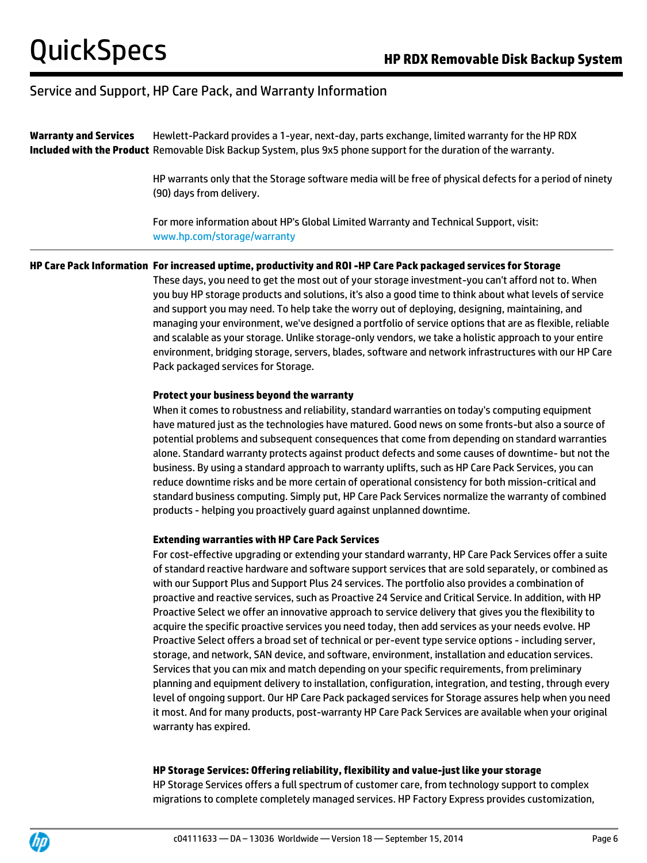**Warranty and Services Included with the Product** Removable Disk Backup System, plus 9x5 phone support for the duration of the warranty. Hewlett-Packard provides a 1-year, next-day, parts exchange, limited warranty for the HP RDX

> HP warrants only that the Storage software media will be free of physical defects for a period of ninety (90) days from delivery.

For more information about HP's Global Limited Warranty and Technical Support, visit: www.hp.com/storage/warranty

#### **HP Care Pack Information For increased uptime, productivity and ROI -HP Care Pack packaged services for Storage**

These days, you need to get the most out of your storage investment-you can't afford not to. When you buy HP storage products and solutions, it's also a good time to think about what levels of service and support you may need. To help take the worry out of deploying, designing, maintaining, and managing your environment, we've designed a portfolio of service options that are as flexible, reliable and scalable as your storage. Unlike storage-only vendors, we take a holistic approach to your entire environment, bridging storage, servers, blades, software and network infrastructures with our HP Care Pack packaged services for Storage.

#### **Protect your business beyond the warranty**

When it comes to robustness and reliability, standard warranties on today's computing equipment have matured just as the technologies have matured. Good news on some fronts-but also a source of potential problems and subsequent consequences that come from depending on standard warranties alone. Standard warranty protects against product defects and some causes of downtime- but not the business. By using a standard approach to warranty uplifts, such as HP Care Pack Services, you can reduce downtime risks and be more certain of operational consistency for both mission-critical and standard business computing. Simply put, HP Care Pack Services normalize the warranty of combined products - helping you proactively guard against unplanned downtime.

#### **Extending warranties with HP Care Pack Services**

For cost-effective upgrading or extending your standard warranty, HP Care Pack Services offer a suite of standard reactive hardware and software support services that are sold separately, or combined as with our Support Plus and Support Plus 24 services. The portfolio also provides a combination of proactive and reactive services, such as Proactive 24 Service and Critical Service. In addition, with HP Proactive Select we offer an innovative approach to service delivery that gives you the flexibility to acquire the specific proactive services you need today, then add services as your needs evolve. HP Proactive Select offers a broad set of technical or per-event type service options - including server, storage, and network, SAN device, and software, environment, installation and education services. Services that you can mix and match depending on your specific requirements, from preliminary planning and equipment delivery to installation, configuration, integration, and testing, through every level of ongoing support. Our HP Care Pack packaged services for Storage assures help when you need it most. And for many products, post-warranty HP Care Pack Services are available when your original warranty has expired.

#### **HP Storage Services: Offering reliability, flexibility and value-just like your storage**

HP Storage Services offers a full spectrum of customer care, from technology support to complex migrations to complete completely managed services. HP Factory Express provides customization,

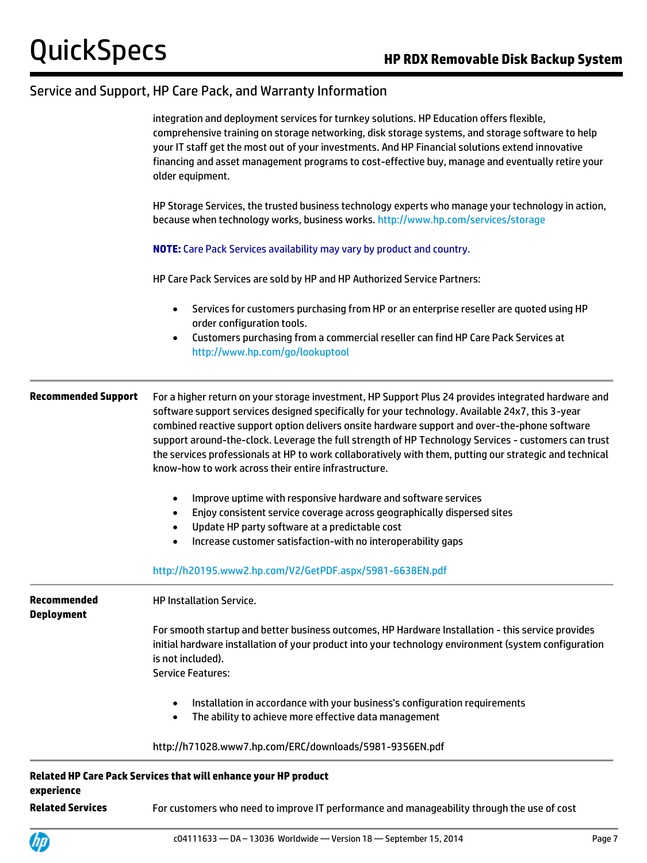|                                  | integration and deployment services for turnkey solutions. HP Education offers flexible,<br>comprehensive training on storage networking, disk storage systems, and storage software to help<br>your IT staff get the most out of your investments. And HP Financial solutions extend innovative<br>financing and asset management programs to cost-effective buy, manage and eventually retire your<br>older equipment.                                                                                                                                                            |  |  |  |  |
|----------------------------------|-------------------------------------------------------------------------------------------------------------------------------------------------------------------------------------------------------------------------------------------------------------------------------------------------------------------------------------------------------------------------------------------------------------------------------------------------------------------------------------------------------------------------------------------------------------------------------------|--|--|--|--|
|                                  | HP Storage Services, the trusted business technology experts who manage your technology in action,<br>because when technology works, business works. http://www.hp.com/services/storage                                                                                                                                                                                                                                                                                                                                                                                             |  |  |  |  |
|                                  | <b>NOTE:</b> Care Pack Services availability may vary by product and country.                                                                                                                                                                                                                                                                                                                                                                                                                                                                                                       |  |  |  |  |
|                                  | HP Care Pack Services are sold by HP and HP Authorized Service Partners:                                                                                                                                                                                                                                                                                                                                                                                                                                                                                                            |  |  |  |  |
|                                  | Services for customers purchasing from HP or an enterprise reseller are quoted using HP<br>$\bullet$<br>order configuration tools.<br>Customers purchasing from a commercial reseller can find HP Care Pack Services at<br>$\bullet$<br>http://www.hp.com/go/lookuptool                                                                                                                                                                                                                                                                                                             |  |  |  |  |
| <b>Recommended Support</b>       | For a higher return on your storage investment, HP Support Plus 24 provides integrated hardware and<br>software support services designed specifically for your technology. Available 24x7, this 3-year<br>combined reactive support option delivers onsite hardware support and over-the-phone software<br>support around-the-clock. Leverage the full strength of HP Technology Services - customers can trust<br>the services professionals at HP to work collaboratively with them, putting our strategic and technical<br>know-how to work across their entire infrastructure. |  |  |  |  |
|                                  | Improve uptime with responsive hardware and software services<br>$\bullet$<br>Enjoy consistent service coverage across geographically dispersed sites<br>$\bullet$<br>Update HP party software at a predictable cost<br>$\bullet$<br>Increase customer satisfaction-with no interoperability gaps<br>$\bullet$                                                                                                                                                                                                                                                                      |  |  |  |  |
|                                  | http://h20195.www2.hp.com/V2/GetPDF.aspx/5981-6638EN.pdf                                                                                                                                                                                                                                                                                                                                                                                                                                                                                                                            |  |  |  |  |
| Recommended<br><b>Deployment</b> | HP Installation Service.                                                                                                                                                                                                                                                                                                                                                                                                                                                                                                                                                            |  |  |  |  |
|                                  | For smooth startup and better business outcomes, HP Hardware Installation - this service provides<br>initial hardware installation of your product into your technology environment (system configuration<br>is not included).<br><b>Service Features:</b>                                                                                                                                                                                                                                                                                                                          |  |  |  |  |
|                                  | Installation in accordance with your business's configuration requirements<br>$\bullet$<br>The ability to achieve more effective data management<br>$\bullet$                                                                                                                                                                                                                                                                                                                                                                                                                       |  |  |  |  |
|                                  | http://h71028.www7.hp.com/ERC/downloads/5981-9356EN.pdf                                                                                                                                                                                                                                                                                                                                                                                                                                                                                                                             |  |  |  |  |
| experience                       | Related HP Care Pack Services that will enhance your HP product                                                                                                                                                                                                                                                                                                                                                                                                                                                                                                                     |  |  |  |  |
| <b>Related Services</b>          | For customers who need to improve IT performance and manageability through the use of cost                                                                                                                                                                                                                                                                                                                                                                                                                                                                                          |  |  |  |  |

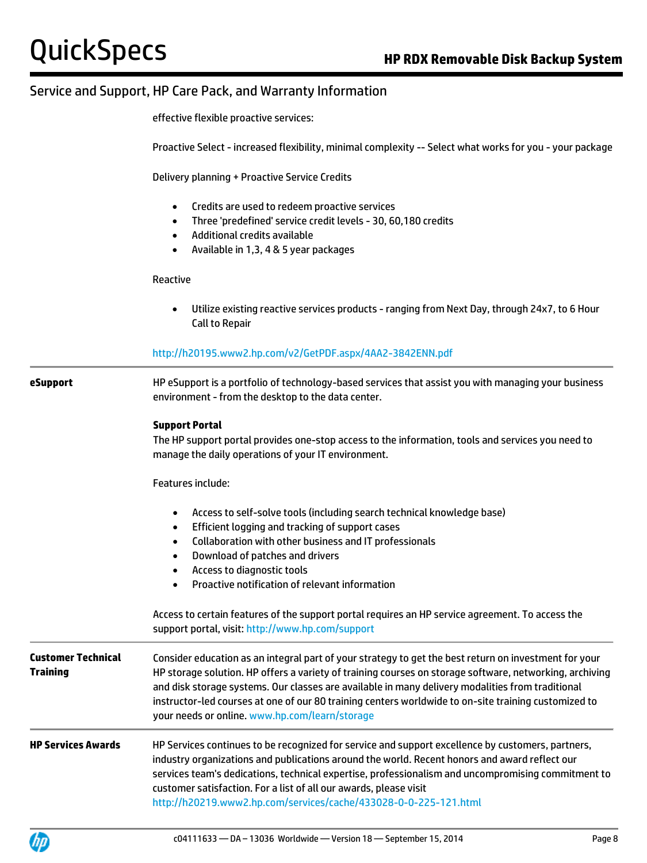effective flexible proactive services:

Proactive Select - increased flexibility, minimal complexity -- Select what works for you - your package

Delivery planning + Proactive Service Credits

- Credits are used to redeem proactive services
- Three 'predefined' service credit levels 30, 60,180 credits
- Additional credits available
- Available in 1,3, 4 & 5 year packages

Reactive

 Utilize existing reactive services products - ranging from Next Day, through 24x7, to 6 Hour Call to Repair

#### <http://h20195.www2.hp.com/v2/GetPDF.aspx/4AA2-3842ENN.pdf>

**eSupport** HP eSupport is a portfolio of technology-based services that assist you with managing your business environment - from the desktop to the data center.

#### **Support Portal**

The HP support portal provides one-stop access to the information, tools and services you need to manage the daily operations of your IT environment.

Features include:

- Access to self-solve tools (including search technical knowledge base)
- Efficient logging and tracking of support cases
- Collaboration with other business and IT professionals
- Download of patches and drivers
- Access to diagnostic tools
- Proactive notification of relevant information

Access to certain features of the support portal requires an HP service agreement. To access the support portal, visit[: http://www.hp.com/support](http://www.hp.com/support) **Customer Technical Training** Consider education as an integral part of your strategy to get the best return on investment for your HP storage solution. HP offers a variety of training courses on storage software, networking, archiving and disk storage systems. Our classes are available in many delivery modalities from traditional instructor-led courses at one of our 80 training centers worldwide to on-site training customized to your needs or online. [www.hp.com/learn/storage](http://www.hp.com/learn/storage) **HP Services Awards** HP Services continues to be recognized for service and support excellence by customers, partners, industry organizations and publications around the world. Recent honors and award reflect our services team's dedications, technical expertise, professionalism and uncompromising commitment to customer satisfaction. For a list of all our awards, please visit

<http://h20219.www2.hp.com/services/cache/433028-0-0-225-121.html>

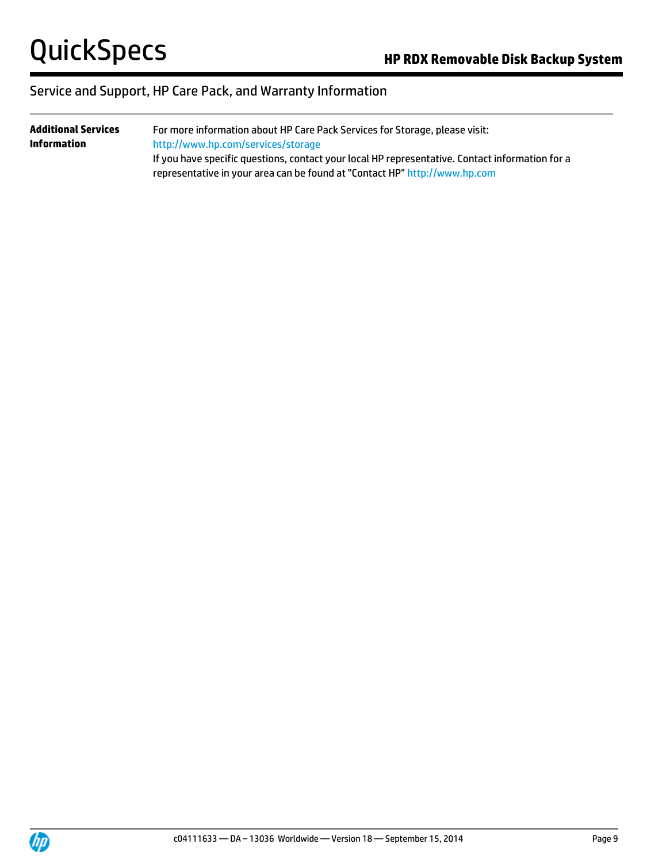| <b>Additional Services</b> | For more information about HP Care Pack Services for Storage, please visit:                     |  |  |  |  |
|----------------------------|-------------------------------------------------------------------------------------------------|--|--|--|--|
| <b>Information</b>         | http://www.hp.com/services/storage                                                              |  |  |  |  |
|                            | If you have specific questions, contact your local HP representative. Contact information for a |  |  |  |  |
|                            | representative in your area can be found at "Contact HP" http://www.hp.com                      |  |  |  |  |

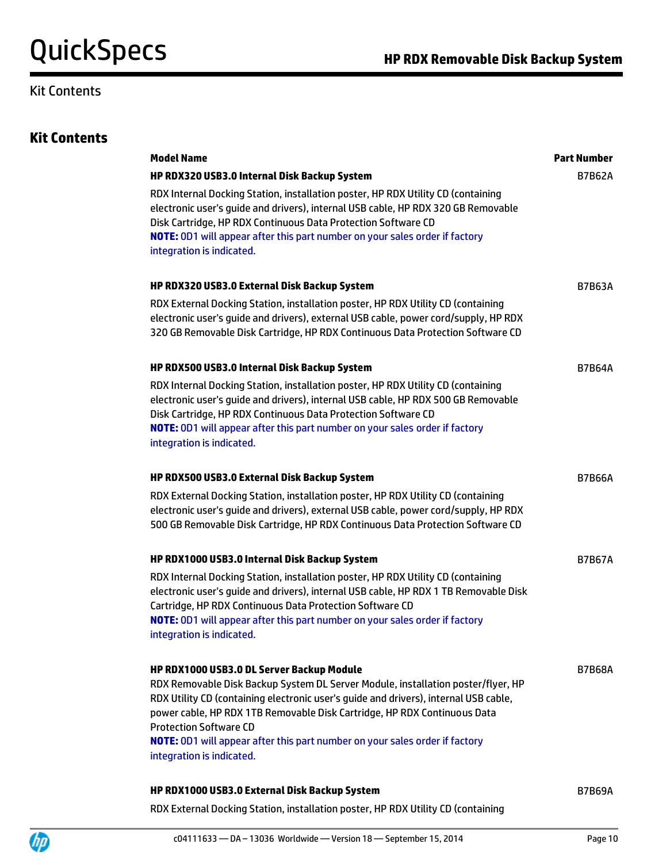## Kit Contents

|  |  | <b>Kit Contents</b> |
|--|--|---------------------|
|--|--|---------------------|

| <b>Model Name</b>                                                                                                                                                                                                                                                                                                                                       | <b>Part Number</b> |
|---------------------------------------------------------------------------------------------------------------------------------------------------------------------------------------------------------------------------------------------------------------------------------------------------------------------------------------------------------|--------------------|
| HP RDX320 USB3.0 Internal Disk Backup System                                                                                                                                                                                                                                                                                                            | <b>B7B62A</b>      |
| RDX Internal Docking Station, installation poster, HP RDX Utility CD (containing<br>electronic user's guide and drivers), internal USB cable, HP RDX 320 GB Removable<br>Disk Cartridge, HP RDX Continuous Data Protection Software CD<br><b>NOTE:</b> OD1 will appear after this part number on your sales order if factory                            |                    |
| integration is indicated.                                                                                                                                                                                                                                                                                                                               |                    |
| HP RDX320 USB3.0 External Disk Backup System                                                                                                                                                                                                                                                                                                            | <b>B7B63A</b>      |
| RDX External Docking Station, installation poster, HP RDX Utility CD (containing<br>electronic user's guide and drivers), external USB cable, power cord/supply, HP RDX<br>320 GB Removable Disk Cartridge, HP RDX Continuous Data Protection Software CD                                                                                               |                    |
| HP RDX500 USB3.0 Internal Disk Backup System                                                                                                                                                                                                                                                                                                            | <b>B7B64A</b>      |
| RDX Internal Docking Station, installation poster, HP RDX Utility CD (containing<br>electronic user's guide and drivers), internal USB cable, HP RDX 500 GB Removable<br>Disk Cartridge, HP RDX Continuous Data Protection Software CD<br>NOTE: 0D1 will appear after this part number on your sales order if factory<br>integration is indicated.      |                    |
| HP RDX500 USB3.0 External Disk Backup System                                                                                                                                                                                                                                                                                                            | <b>B7B66A</b>      |
| RDX External Docking Station, installation poster, HP RDX Utility CD (containing<br>electronic user's guide and drivers), external USB cable, power cord/supply, HP RDX<br>500 GB Removable Disk Cartridge, HP RDX Continuous Data Protection Software CD                                                                                               |                    |
| HP RDX1000 USB3.0 Internal Disk Backup System                                                                                                                                                                                                                                                                                                           | <b>B7B67A</b>      |
| RDX Internal Docking Station, installation poster, HP RDX Utility CD (containing<br>electronic user's guide and drivers), internal USB cable, HP RDX 1 TB Removable Disk<br>Cartridge, HP RDX Continuous Data Protection Software CD<br><b>NOTE:</b> OD1 will appear after this part number on your sales order if factory<br>integration is indicated. |                    |
| HP RDX1000 USB3.0 DL Server Backup Module                                                                                                                                                                                                                                                                                                               | <b>B7B68A</b>      |
| RDX Removable Disk Backup System DL Server Module, installation poster/flyer, HP<br>RDX Utility CD (containing electronic user's guide and drivers), internal USB cable,<br>power cable, HP RDX 1TB Removable Disk Cartridge, HP RDX Continuous Data<br><b>Protection Software CD</b>                                                                   |                    |
| NOTE: 0D1 will appear after this part number on your sales order if factory<br>integration is indicated.                                                                                                                                                                                                                                                |                    |
| HP RDX1000 USB3.0 External Disk Backup System                                                                                                                                                                                                                                                                                                           | <b>B7B69A</b>      |
| RDX External Docking Station, installation poster, HP RDX Utility CD (containing                                                                                                                                                                                                                                                                        |                    |

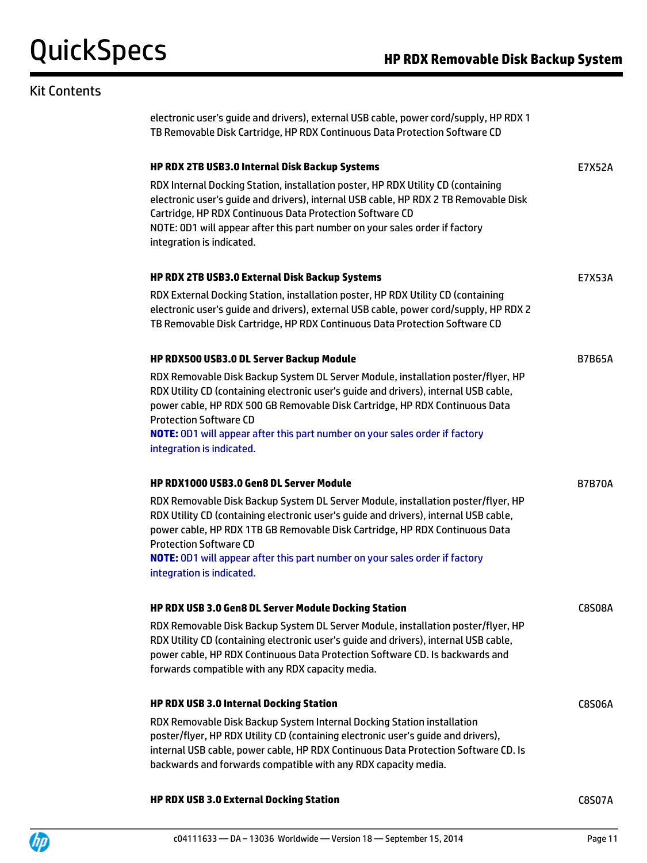## Kit Contents

| electronic user's guide and drivers), external USB cable, power cord/supply, HP RDX 1<br>TB Removable Disk Cartridge, HP RDX Continuous Data Protection Software CD                                                                                                                                                                                                                                         |               |
|-------------------------------------------------------------------------------------------------------------------------------------------------------------------------------------------------------------------------------------------------------------------------------------------------------------------------------------------------------------------------------------------------------------|---------------|
| HP RDX 2TB USB3.0 Internal Disk Backup Systems                                                                                                                                                                                                                                                                                                                                                              | E7X52A        |
| RDX Internal Docking Station, installation poster, HP RDX Utility CD (containing<br>electronic user's guide and drivers), internal USB cable, HP RDX 2 TB Removable Disk<br>Cartridge, HP RDX Continuous Data Protection Software CD<br>NOTE: 0D1 will appear after this part number on your sales order if factory<br>integration is indicated.                                                            |               |
| HP RDX 2TB USB3.0 External Disk Backup Systems                                                                                                                                                                                                                                                                                                                                                              | E7X53A        |
| RDX External Docking Station, installation poster, HP RDX Utility CD (containing<br>electronic user's guide and drivers), external USB cable, power cord/supply, HP RDX 2<br>TB Removable Disk Cartridge, HP RDX Continuous Data Protection Software CD                                                                                                                                                     |               |
| HP RDX500 USB3.0 DL Server Backup Module                                                                                                                                                                                                                                                                                                                                                                    | <b>B7B65A</b> |
| RDX Removable Disk Backup System DL Server Module, installation poster/flyer, HP<br>RDX Utility CD (containing electronic user's quide and drivers), internal USB cable,<br>power cable, HP RDX 500 GB Removable Disk Cartridge, HP RDX Continuous Data<br><b>Protection Software CD</b><br><b>NOTE:</b> OD1 will appear after this part number on your sales order if factory<br>integration is indicated. |               |
| <b>HP RDX1000 USB3.0 Gen8 DL Server Module</b>                                                                                                                                                                                                                                                                                                                                                              | <b>B7B70A</b> |
| RDX Removable Disk Backup System DL Server Module, installation poster/flyer, HP<br>RDX Utility CD (containing electronic user's guide and drivers), internal USB cable,<br>power cable, HP RDX 1TB GB Removable Disk Cartridge, HP RDX Continuous Data<br><b>Protection Software CD</b><br>NOTE: 0D1 will appear after this part number on your sales order if factory<br>integration is indicated.        |               |
| HP RDX USB 3.0 Gen8 DL Server Module Docking Station                                                                                                                                                                                                                                                                                                                                                        | <b>C8S08A</b> |
| RDX Removable Disk Backup System DL Server Module, installation poster/flyer, HP<br>RDX Utility CD (containing electronic user's guide and drivers), internal USB cable,<br>power cable, HP RDX Continuous Data Protection Software CD. Is backwards and<br>forwards compatible with any RDX capacity media.                                                                                                |               |
| HP RDX USB 3.0 Internal Docking Station                                                                                                                                                                                                                                                                                                                                                                     | <b>C8S06A</b> |
| RDX Removable Disk Backup System Internal Docking Station installation<br>poster/flyer, HP RDX Utility CD (containing electronic user's guide and drivers),<br>internal USB cable, power cable, HP RDX Continuous Data Protection Software CD. Is<br>backwards and forwards compatible with any RDX capacity media.                                                                                         |               |

#### **HP RDX USB 3.0 External Docking Station** C8S07A

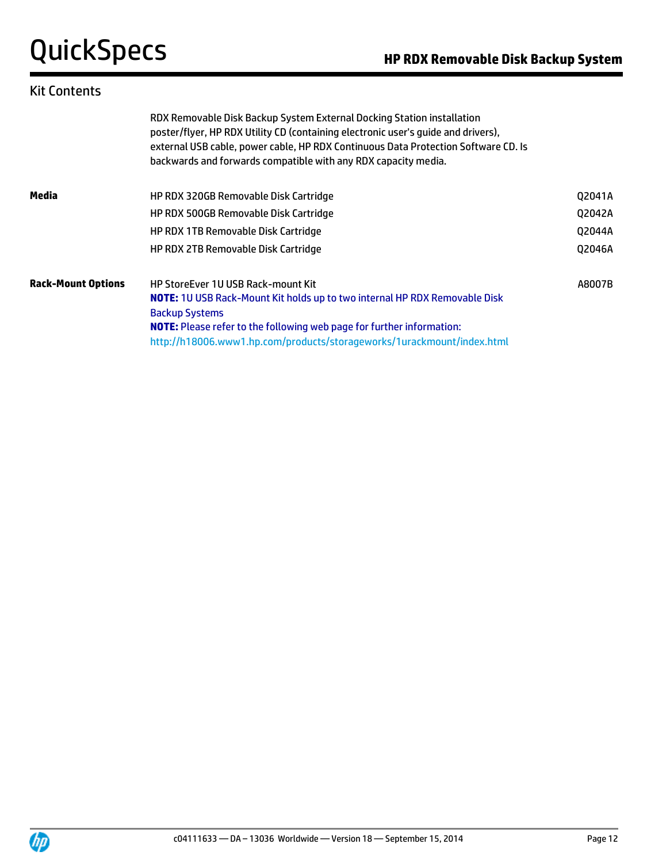### Kit Contents

|                           | RDX Removable Disk Backup System External Docking Station installation<br>poster/flyer, HP RDX Utility CD (containing electronic user's quide and drivers),<br>external USB cable, power cable, HP RDX Continuous Data Protection Software CD. Is<br>backwards and forwards compatible with any RDX capacity media. |        |  |  |
|---------------------------|---------------------------------------------------------------------------------------------------------------------------------------------------------------------------------------------------------------------------------------------------------------------------------------------------------------------|--------|--|--|
| Media                     | HP RDX 320GB Removable Disk Cartridge                                                                                                                                                                                                                                                                               | Q2041A |  |  |
|                           | HP RDX 500GB Removable Disk Cartridge                                                                                                                                                                                                                                                                               | Q2042A |  |  |
|                           | <b>HP RDX 1TB Removable Disk Cartridge</b>                                                                                                                                                                                                                                                                          | Q2044A |  |  |
|                           | HP RDX 2TB Removable Disk Cartridge                                                                                                                                                                                                                                                                                 | Q2046A |  |  |
| <b>Rack-Mount Options</b> | <b>HP StoreEver 1U USB Rack-mount Kit</b>                                                                                                                                                                                                                                                                           | A8007B |  |  |
|                           | <b>NOTE:</b> 10 USB Rack-Mount Kit holds up to two internal HP RDX Removable Disk                                                                                                                                                                                                                                   |        |  |  |
|                           | <b>Backup Systems</b>                                                                                                                                                                                                                                                                                               |        |  |  |
|                           | <b>NOTE:</b> Please refer to the following web page for further information:                                                                                                                                                                                                                                        |        |  |  |
|                           | http://h18006.www1.hp.com/products/storageworks/1urackmount/index.html                                                                                                                                                                                                                                              |        |  |  |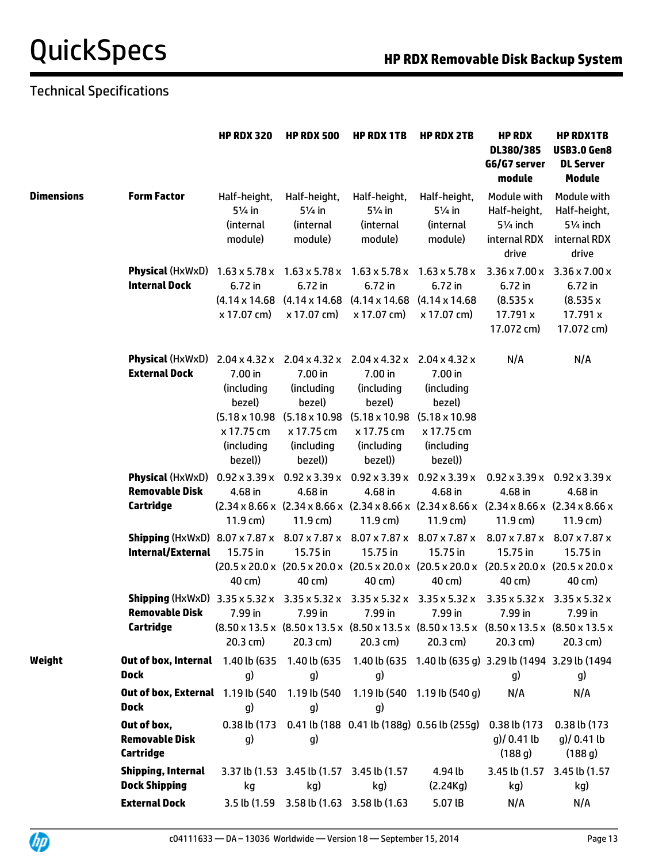## Technical Specifications

|                   |                                                                                                                                                                 | <b>HP RDX 320</b>                                                                                   | <b>HP RDX 500</b>                                                      | <b>HP RDX 1TB</b>                                                                                                                                                                                | <b>HP RDX 2TB</b>                                                                                                                                                                 | <b>HP RDX</b><br>DL380/385<br>G6/G7 server<br>module                          | <b>HP RDX1TB</b><br><b>USB3.0 Gen8</b><br><b>DL Server</b><br><b>Module</b>   |
|-------------------|-----------------------------------------------------------------------------------------------------------------------------------------------------------------|-----------------------------------------------------------------------------------------------------|------------------------------------------------------------------------|--------------------------------------------------------------------------------------------------------------------------------------------------------------------------------------------------|-----------------------------------------------------------------------------------------------------------------------------------------------------------------------------------|-------------------------------------------------------------------------------|-------------------------------------------------------------------------------|
| <b>Dimensions</b> | <b>Form Factor</b>                                                                                                                                              | Half-height,<br>$5\frac{1}{4}$ in<br>(internal<br>module)                                           | Half-height,<br>$5\frac{1}{4}$ in<br>(internal<br>module)              | Half-height,<br>$5\frac{1}{4}$ in<br>(internal<br>module)                                                                                                                                        | Half-height,<br>51/ <sub>4</sub> in<br>(internal<br>module)                                                                                                                       | Module with<br>Half-height,<br>51/ <sub>4</sub> inch<br>internal RDX<br>drive | Module with<br>Half-height,<br>51/ <sub>4</sub> inch<br>internal RDX<br>drive |
|                   | <b>Physical</b> (HxWxD) $1.63 \times 5.78 \times$<br><b>Internal Dock</b>                                                                                       | 6.72 in<br>x 17.07 cm)                                                                              | 6.72 in<br>x 17.07 cm)                                                 | $1.63 \times 5.78 \times 1.63 \times 5.78 \times$<br>6.72 in<br>$(4.14 \times 14.68)$ $(4.14 \times 14.68)$ $(4.14 \times 14.68)$<br>x 17.07 cm)                                                 | $1.63 \times 5.78 \times$<br>6.72 in<br>$(4.14 \times 14.68)$<br>x 17.07 cm)                                                                                                      | $3.36 \times 7.00 \times$<br>6.72 in<br>(8.535x<br>17.791 x<br>17.072 cm)     | $3.36 \times 7.00 \times$<br>6.72 in<br>(8.535x<br>17.791 x<br>17.072 cm)     |
|                   | <b>Physical</b> (HxWxD)<br><b>External Dock</b>                                                                                                                 | $2.04 \times 4.32 \times$<br>7.00 in<br>(including<br>bezel)<br>x 17.75 cm<br>(including<br>bezel)) | 7.00 in<br>(including<br>bezel)<br>x 17.75 cm<br>(including<br>bezel)) | $2.04 \times 4.32 \times 2.04 \times 4.32 \times$<br>7.00 in<br>(including<br>bezel)<br>$(5.18 \times 10.98)$ $(5.18 \times 10.98)$ $(5.18 \times 10.98)$<br>x 17.75 cm<br>(including<br>bezel)) | $2.04 \times 4.32 \times$<br>7.00 in<br>(including<br>bezel)<br>$(5.18 \times 10.98$<br>x 17.75 cm<br>(including<br>bezel))                                                       | N/A                                                                           | N/A                                                                           |
|                   | <b>Physical</b> (HxWxD) $0.92 \times 3.39 \times$                                                                                                               |                                                                                                     |                                                                        | $0.92 \times 3.39 \times 0.92 \times 3.39 \times$                                                                                                                                                | $0.92 \times 3.39 \times$                                                                                                                                                         | $0.92 \times 3.39 \times$                                                     | $0.92 \times 3.39 \times$                                                     |
|                   | <b>Removable Disk</b>                                                                                                                                           | 4.68 in                                                                                             | 4.68 in                                                                | 4.68 in                                                                                                                                                                                          | 4.68 in                                                                                                                                                                           | 4.68 in                                                                       | 4.68 in                                                                       |
|                   | Cartridge                                                                                                                                                       | $11.9$ cm)                                                                                          | $11.9 \,\mathrm{cm}$ )                                                 | $11.9 \text{ cm}$                                                                                                                                                                                | $(2.34 \times 8.66 \times (2.34 \times 8.66 \times (2.34 \times 8.66 \times (2.34 \times 8.66 \times (2.34 \times 8.66 \times (2.34 \times 8.66 \times$<br>$11.9 \,\mathrm{cm}$ ) | $11.9 \,\mathrm{cm}$ )                                                        | $11.9 \,\mathrm{cm}$ )                                                        |
|                   | <b>Shipping</b> (HxWxD) 8.07 x 7.87 x 8.07 x 7.87 x 8.07 x 7.87 x 8.07 x 7.87 x<br><b>Internal/External</b>                                                     | 15.75 in<br>40 cm)                                                                                  | 15.75 in<br>40 cm)                                                     | 15.75 in<br>40 cm)                                                                                                                                                                               | 15.75 in<br>(20.5 x 20.0 x (20.5 x 20.0 x (20.5 x 20.0 x (20.5 x 20.0 x (20.5 x 20.0 x (20.5 x 20.0 x<br>40 cm)                                                                   | $8.07 \times 7.87 \times$<br>15.75 in<br>40 cm)                               | 8.07 x 7.87 x<br>15.75 in<br>40 cm)                                           |
|                   | <b>Shipping</b> (HxWxD) $3.35 \times 5.32 \times 3.35 \times 5.32 \times 3.35 \times 5.32 \times 3.35 \times 5.32 \times$<br><b>Removable Disk</b><br>Cartridge | 7.99 in<br>$20.3$ cm)                                                                               | 7.99 in<br>$20.3$ cm)                                                  | 7.99 in<br>$20.3$ cm)                                                                                                                                                                            | 7.99 in<br>(8.50 x 13.5 x (8.50 x 13.5 x (8.50 x 13.5 x (8.50 x 13.5 x (8.50 x 13.5 x (8.50 x 13.5 x<br>$20.3$ cm)                                                                | $3.35 \times 5.32 \times$<br>7.99 in<br>$20.3$ cm)                            | $3.35 \times 5.32 \times$<br>7.99 in<br>$20.3$ cm)                            |
| Weight            | <b>Out of box, Internal</b> 1.40 lb (635 1.40 lb (635 1.40 lb (635 1.40 lb (635 g) 3.29 lb (1494 3.29 lb (1494<br><b>Dock</b>                                   | g)                                                                                                  | g)                                                                     | g)                                                                                                                                                                                               |                                                                                                                                                                                   | g)                                                                            | g)                                                                            |
|                   | Out of box, External 1.19 lb (540<br><b>Dock</b>                                                                                                                | q)                                                                                                  | 1.19 lb (540<br>g)                                                     | q)                                                                                                                                                                                               | 1.19 lb (540 1.19 lb (540 q)                                                                                                                                                      | N/A                                                                           | N/A                                                                           |
|                   | Out of box,<br><b>Removable Disk</b><br>Cartridge                                                                                                               | g)                                                                                                  | g)                                                                     |                                                                                                                                                                                                  | 0.38 lb (173 0.41 lb (188 0.41 lb (188g) 0.56 lb (255g)                                                                                                                           | 0.38 lb (173 0.38 lb (173<br>$q$ )/ 0.41 lb<br>(188q)                         | $g$ )/ 0.41 lb<br>(188 g)                                                     |
|                   | Shipping, Internal<br><b>Dock Shipping</b>                                                                                                                      | kg                                                                                                  | 3.37 lb (1.53 3.45 lb (1.57 3.45 lb (1.57<br>kg)                       | kg)                                                                                                                                                                                              | 4.94 lb<br>(2.24Kg)                                                                                                                                                               | 3.45 lb (1.57<br>kg)                                                          | 3.45 lb (1.57<br>kg)                                                          |
|                   | <b>External Dock</b>                                                                                                                                            |                                                                                                     | 3.5 lb (1.59 3.58 lb (1.63 3.58 lb (1.63                               |                                                                                                                                                                                                  | 5.07 IB                                                                                                                                                                           | N/A                                                                           | N/A                                                                           |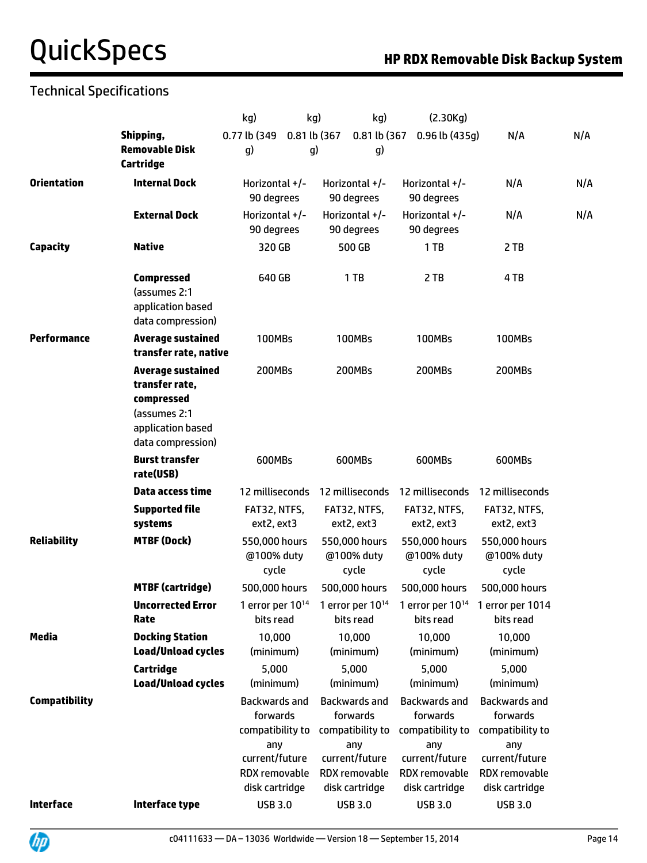## Technical Specifications

|                      |                                                                                                                    | kg)                                                                                                       | kg)          | kg)                                                                                                       | (2.30Kg)                                                                                                  |                                                                                                           |     |
|----------------------|--------------------------------------------------------------------------------------------------------------------|-----------------------------------------------------------------------------------------------------------|--------------|-----------------------------------------------------------------------------------------------------------|-----------------------------------------------------------------------------------------------------------|-----------------------------------------------------------------------------------------------------------|-----|
|                      | Shipping,                                                                                                          | 0.77 lb (349                                                                                              | 0.81 lb (367 | 0.81 lb (367                                                                                              | $0.96$ lb (435g)                                                                                          | N/A                                                                                                       | N/A |
|                      | <b>Removable Disk</b><br>Cartridge                                                                                 | g)                                                                                                        | g)           | g)                                                                                                        |                                                                                                           |                                                                                                           |     |
| <b>Orientation</b>   | <b>Internal Dock</b>                                                                                               | Horizontal +/-<br>90 degrees                                                                              |              | Horizontal $+/-$<br>90 degrees                                                                            | Horizontal +/-<br>90 degrees                                                                              | N/A                                                                                                       | N/A |
|                      | <b>External Dock</b>                                                                                               | Horizontal +/-<br>90 degrees                                                                              |              | Horizontal $+/-$<br>90 degrees                                                                            | Horizontal $+/-$<br>90 degrees                                                                            | N/A                                                                                                       | N/A |
| <b>Capacity</b>      | <b>Native</b>                                                                                                      | 320 GB                                                                                                    |              | 500 GB                                                                                                    | 1TB                                                                                                       | 2 TB                                                                                                      |     |
|                      | <b>Compressed</b><br>(assumes 2:1<br>application based<br>data compression)                                        | 640 GB                                                                                                    |              | 1TB                                                                                                       | 2 TB                                                                                                      | 4 TB                                                                                                      |     |
| <b>Performance</b>   | <b>Average sustained</b><br>transfer rate, native                                                                  | <b>100MBs</b>                                                                                             |              | <b>100MBs</b>                                                                                             | <b>100MBs</b>                                                                                             | <b>100MBs</b>                                                                                             |     |
|                      | <b>Average sustained</b><br>transfer rate,<br>compressed<br>(assumes 2:1<br>application based<br>data compression) | 200MBs                                                                                                    |              | 200MBs                                                                                                    | 200MBs                                                                                                    | <b>200MBs</b>                                                                                             |     |
|                      | <b>Burst transfer</b><br>rate(USB)                                                                                 | 600MBs                                                                                                    |              | 600MBs                                                                                                    | 600MBs                                                                                                    | 600MBs                                                                                                    |     |
|                      | Data access time                                                                                                   | 12 milliseconds                                                                                           |              | 12 milliseconds                                                                                           | 12 milliseconds                                                                                           | 12 milliseconds                                                                                           |     |
|                      | <b>Supported file</b><br>systems                                                                                   | FAT32, NTFS,<br>ext2, ext3                                                                                |              | FAT32, NTFS,<br>ext2, ext3                                                                                | FAT32, NTFS,<br>ext2, ext3                                                                                | FAT32, NTFS,<br>ext2, ext3                                                                                |     |
| <b>Reliability</b>   | <b>MTBF (Dock)</b>                                                                                                 | 550,000 hours<br>@100% duty<br>cycle                                                                      |              | 550,000 hours<br>@100% duty<br>cycle                                                                      | 550,000 hours<br>@100% duty<br>cycle                                                                      | 550,000 hours<br>@100% duty<br>cycle                                                                      |     |
|                      | <b>MTBF</b> (cartridge)                                                                                            | 500,000 hours                                                                                             |              | 500,000 hours                                                                                             | 500,000 hours                                                                                             | 500,000 hours                                                                                             |     |
|                      | <b>Uncorrected Error</b><br>Rate                                                                                   | 1 error per $10^{14}$<br>bits read                                                                        |              | 1 error per $10^{14}$<br>bits read                                                                        | bits read                                                                                                 | 1 error per $10^{14}$ 1 error per 1014<br>bits read                                                       |     |
| <b>Media</b>         | <b>Docking Station</b><br><b>Load/Unload cycles</b>                                                                | 10,000<br>(minimum)                                                                                       |              | 10,000<br>(minimum)                                                                                       | 10,000<br>(minimum)                                                                                       | 10,000<br>(minimum)                                                                                       |     |
|                      | Cartridge<br><b>Load/Unload cycles</b>                                                                             | 5,000<br>(minimum)                                                                                        |              | 5,000<br>(minimum)                                                                                        | 5,000<br>(minimum)                                                                                        | 5,000<br>(minimum)                                                                                        |     |
| <b>Compatibility</b> |                                                                                                                    | Backwards and<br>forwards<br>compatibility to<br>any<br>current/future<br>RDX removable<br>disk cartridge |              | Backwards and<br>forwards<br>compatibility to<br>any<br>current/future<br>RDX removable<br>disk cartridge | Backwards and<br>forwards<br>compatibility to<br>any<br>current/future<br>RDX removable<br>disk cartridge | Backwards and<br>forwards<br>compatibility to<br>any<br>current/future<br>RDX removable<br>disk cartridge |     |
| <b>Interface</b>     | Interface type                                                                                                     | <b>USB 3.0</b>                                                                                            |              | <b>USB 3.0</b>                                                                                            | <b>USB 3.0</b>                                                                                            | <b>USB 3.0</b>                                                                                            |     |
|                      |                                                                                                                    |                                                                                                           |              |                                                                                                           |                                                                                                           |                                                                                                           |     |

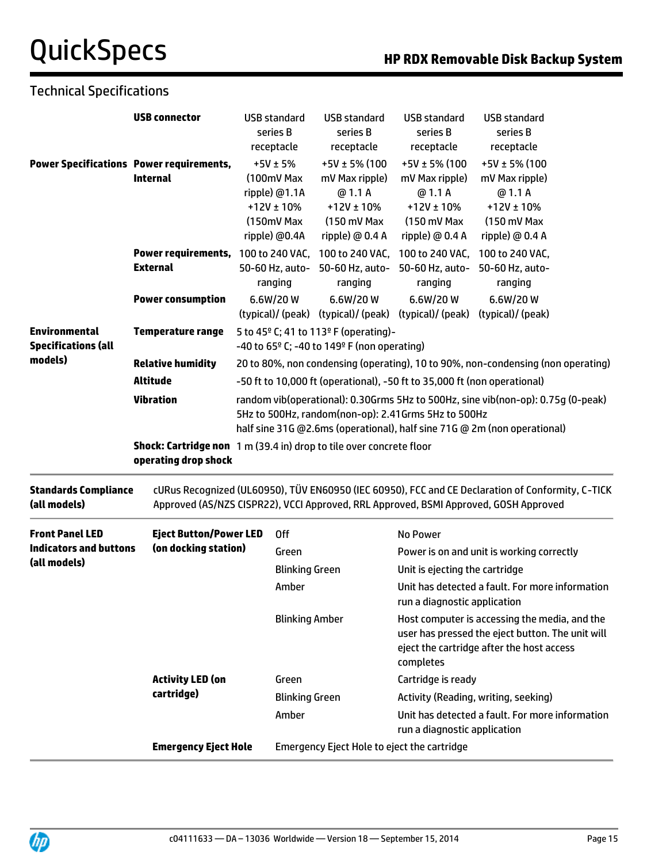### Technical Specifications

|                                                         | <b>USB connector</b>                                                                               | <b>USB standard</b><br>series B<br>receptacle                                                                                                                                                                       |                                                                          | <b>USB standard</b><br>series B<br>receptacle                                                   | <b>USB standard</b><br>series B<br>receptacle                                                                                                               | <b>USB standard</b><br>series B<br>receptacle                                                                                                                                             |  |  |  |
|---------------------------------------------------------|----------------------------------------------------------------------------------------------------|---------------------------------------------------------------------------------------------------------------------------------------------------------------------------------------------------------------------|--------------------------------------------------------------------------|-------------------------------------------------------------------------------------------------|-------------------------------------------------------------------------------------------------------------------------------------------------------------|-------------------------------------------------------------------------------------------------------------------------------------------------------------------------------------------|--|--|--|
|                                                         | <b>Power Specifications Power requirements,</b><br><b>Internal</b>                                 | $+5V \pm 5%$<br>(100mV Max<br>ripple) @1.1A<br>(150mV Max<br>ripple) @0.4A                                                                                                                                          | $+12V \pm 10\%$                                                          | +5V ± 5% (100<br>mV Max ripple)<br>@ 1.1 A<br>$+12V \pm 10\%$<br>(150 mV Max<br>ripple) @ 0.4 A | +5V ± 5% (100<br>mV Max ripple)<br>@ 1.1 A<br>$+12V \pm 10%$<br>(150 mV Max<br>ripple) $@$ 0.4 A                                                            | +5V ± 5% (100<br>mV Max ripple)<br>@ 1.1 A<br>$+12V \pm 10%$<br>$(150 \text{ mV}$ Max<br>ripple) @ 0.4 A                                                                                  |  |  |  |
| <b>Environmental</b><br><b>Specifications (all</b>      | Power requirements, 100 to 240 VAC,<br><b>External</b>                                             | ranging                                                                                                                                                                                                             | 50-60 Hz, auto-                                                          | 100 to 240 VAC,<br>50-60 Hz, auto-<br>ranging                                                   | 100 to 240 VAC,<br>50-60 Hz, auto-<br>ranging                                                                                                               | 100 to 240 VAC,<br>50-60 Hz, auto-<br>ranging                                                                                                                                             |  |  |  |
|                                                         | <b>Power consumption</b>                                                                           | 6.6W/20W                                                                                                                                                                                                            |                                                                          | 6.6W/20W<br>(typical)/(peak) (typical)/(peak)                                                   | 6.6W/20W<br>(typical)/ (peak)                                                                                                                               | 6.6W/20W<br>(typical)/ (peak)                                                                                                                                                             |  |  |  |
|                                                         | <b>Temperature range</b>                                                                           | 5 to 45 <sup>o</sup> C; 41 to 113 <sup>o</sup> F (operating)-<br>-40 to 65° C; -40 to 149° F (non operating)                                                                                                        |                                                                          |                                                                                                 |                                                                                                                                                             |                                                                                                                                                                                           |  |  |  |
| models)                                                 | <b>Relative humidity</b>                                                                           | 20 to 80%, non condensing (operating), 10 to 90%, non-condensing (non operating)                                                                                                                                    |                                                                          |                                                                                                 |                                                                                                                                                             |                                                                                                                                                                                           |  |  |  |
|                                                         | <b>Altitude</b>                                                                                    |                                                                                                                                                                                                                     | -50 ft to 10,000 ft (operational), -50 ft to 35,000 ft (non operational) |                                                                                                 |                                                                                                                                                             |                                                                                                                                                                                           |  |  |  |
|                                                         | <b>Vibration</b>                                                                                   | random vib(operational): 0.30Grms 5Hz to 500Hz, sine vib(non-op): 0.75g (0-peak)<br>5Hz to 500Hz, random(non-op): 2.41Grms 5Hz to 500Hz<br>half sine 31G @2.6ms (operational), half sine 71G @ 2m (non operational) |                                                                          |                                                                                                 |                                                                                                                                                             |                                                                                                                                                                                           |  |  |  |
|                                                         | <b>Shock: Cartridge non</b> 1 m (39.4 in) drop to tile over concrete floor<br>operating drop shock |                                                                                                                                                                                                                     |                                                                          |                                                                                                 |                                                                                                                                                             |                                                                                                                                                                                           |  |  |  |
| <b>Standards Compliance</b><br>(all models)             |                                                                                                    |                                                                                                                                                                                                                     |                                                                          |                                                                                                 |                                                                                                                                                             | cURus Recognized (UL60950), TÜV EN60950 (IEC 60950), FCC and CE Declaration of Conformity, C-TICK<br>Approved (AS/NZS CISPR22), VCCI Approved, RRL Approved, BSMI Approved, GOSH Approved |  |  |  |
| <b>Eject Button/Power LED</b><br><b>Front Panel LED</b> |                                                                                                    | <b>Off</b>                                                                                                                                                                                                          |                                                                          |                                                                                                 | No Power                                                                                                                                                    |                                                                                                                                                                                           |  |  |  |
| <b>Indicators and buttons</b>                           | (on docking station)                                                                               | Green                                                                                                                                                                                                               |                                                                          |                                                                                                 | Power is on and unit is working correctly                                                                                                                   |                                                                                                                                                                                           |  |  |  |
| (all models)                                            |                                                                                                    |                                                                                                                                                                                                                     | <b>Blinking Green</b>                                                    |                                                                                                 | Unit is ejecting the cartridge                                                                                                                              |                                                                                                                                                                                           |  |  |  |
|                                                         |                                                                                                    |                                                                                                                                                                                                                     | Amber                                                                    |                                                                                                 | Unit has detected a fault. For more information<br>run a diagnostic application                                                                             |                                                                                                                                                                                           |  |  |  |
|                                                         |                                                                                                    |                                                                                                                                                                                                                     | <b>Blinking Amber</b>                                                    |                                                                                                 | Host computer is accessing the media, and the<br>user has pressed the eject button. The unit will<br>eject the cartridge after the host access<br>completes |                                                                                                                                                                                           |  |  |  |
|                                                         | <b>Activity LED (on</b>                                                                            | Green                                                                                                                                                                                                               |                                                                          |                                                                                                 | Cartridge is ready                                                                                                                                          |                                                                                                                                                                                           |  |  |  |
|                                                         | cartridge)                                                                                         |                                                                                                                                                                                                                     | <b>Blinking Green</b>                                                    |                                                                                                 | Activity (Reading, writing, seeking)                                                                                                                        |                                                                                                                                                                                           |  |  |  |
|                                                         |                                                                                                    |                                                                                                                                                                                                                     | Amber                                                                    |                                                                                                 | Unit has detected a fault. For more information<br>run a diagnostic application                                                                             |                                                                                                                                                                                           |  |  |  |
|                                                         | <b>Emergency Eject Hole</b>                                                                        |                                                                                                                                                                                                                     | Emergency Eject Hole to eject the cartridge                              |                                                                                                 |                                                                                                                                                             |                                                                                                                                                                                           |  |  |  |

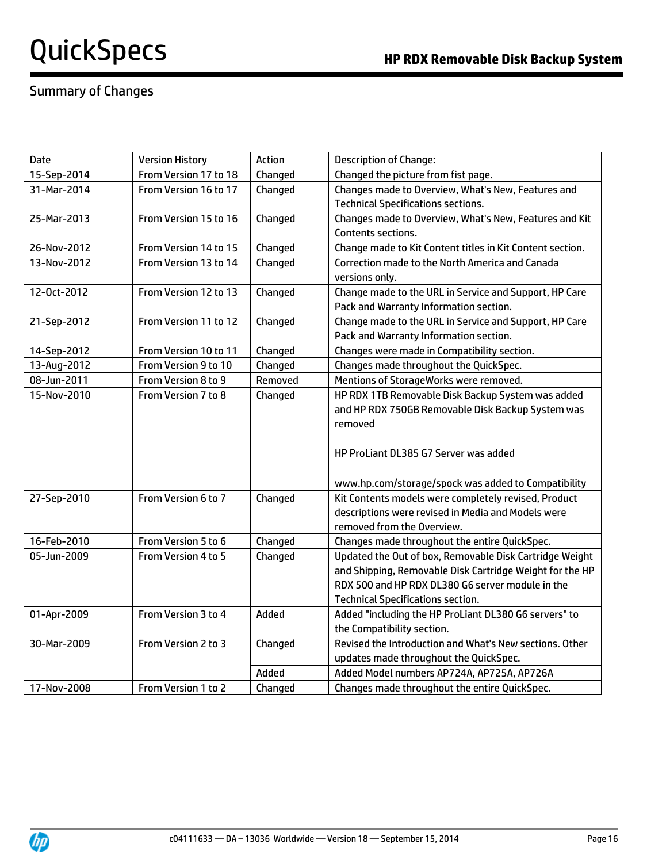## Summary of Changes

| <b>Date</b> | <b>Version History</b> | Action  | <b>Description of Change:</b>                             |
|-------------|------------------------|---------|-----------------------------------------------------------|
| 15-Sep-2014 | From Version 17 to 18  | Changed | Changed the picture from fist page.                       |
| 31-Mar-2014 | From Version 16 to 17  | Changed | Changes made to Overview, What's New, Features and        |
|             |                        |         | <b>Technical Specifications sections.</b>                 |
| 25-Mar-2013 | From Version 15 to 16  | Changed | Changes made to Overview, What's New, Features and Kit    |
|             |                        |         | Contents sections.                                        |
| 26-Nov-2012 | From Version 14 to 15  | Changed | Change made to Kit Content titles in Kit Content section. |
| 13-Nov-2012 | From Version 13 to 14  | Changed | Correction made to the North America and Canada           |
|             |                        |         | versions only.                                            |
| 12-Oct-2012 | From Version 12 to 13  | Changed | Change made to the URL in Service and Support, HP Care    |
|             |                        |         | Pack and Warranty Information section.                    |
| 21-Sep-2012 | From Version 11 to 12  | Changed | Change made to the URL in Service and Support, HP Care    |
|             |                        |         | Pack and Warranty Information section.                    |
| 14-Sep-2012 | From Version 10 to 11  | Changed | Changes were made in Compatibility section.               |
| 13-Aug-2012 | From Version 9 to 10   | Changed | Changes made throughout the QuickSpec.                    |
| 08-Jun-2011 | From Version 8 to 9    | Removed | Mentions of StorageWorks were removed.                    |
| 15-Nov-2010 | From Version 7 to 8    | Changed | HP RDX 1TB Removable Disk Backup System was added         |
|             |                        |         | and HP RDX 750GB Removable Disk Backup System was         |
|             |                        |         | removed                                                   |
|             |                        |         |                                                           |
|             |                        |         | HP ProLiant DL385 G7 Server was added                     |
|             |                        |         |                                                           |
|             |                        |         | www.hp.com/storage/spock was added to Compatibility       |
| 27-Sep-2010 | From Version 6 to 7    | Changed | Kit Contents models were completely revised, Product      |
|             |                        |         | descriptions were revised in Media and Models were        |
|             |                        |         | removed from the Overview.                                |
| 16-Feb-2010 | From Version 5 to 6    | Changed | Changes made throughout the entire QuickSpec.             |
| 05-Jun-2009 | From Version 4 to 5    | Changed | Updated the Out of box, Removable Disk Cartridge Weight   |
|             |                        |         | and Shipping, Removable Disk Cartridge Weight for the HP  |
|             |                        |         | RDX 500 and HP RDX DL380 G6 server module in the          |
|             |                        |         | <b>Technical Specifications section.</b>                  |
| 01-Apr-2009 | From Version 3 to 4    | Added   | Added "including the HP ProLiant DL380 G6 servers" to     |
|             |                        |         | the Compatibility section.                                |
| 30-Mar-2009 | From Version 2 to 3    | Changed | Revised the Introduction and What's New sections. Other   |
|             |                        |         | updates made throughout the QuickSpec.                    |
|             |                        | Added   | Added Model numbers AP724A, AP725A, AP726A                |
| 17-Nov-2008 | From Version 1 to 2    | Changed | Changes made throughout the entire QuickSpec.             |